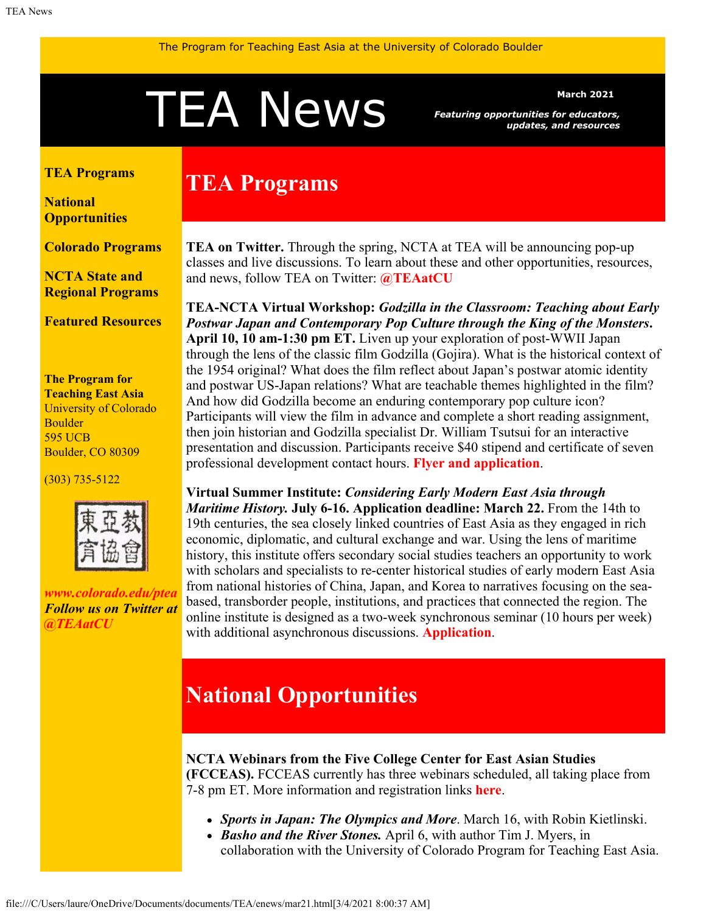# <span id="page-0-1"></span>Merch 2021<br>Featuring opportunities for educators<br>updates, and resource

*Featuring opportunities for educators, updates, and resources*

#### <span id="page-0-0"></span>**[TEA Programs](#page-0-0)**

**[National](#page-0-1) [Opportunities](#page-0-1)**

#### **[Colorado Programs](#page-1-0)**

**[NCTA State and](#page-2-0) [Regional Programs](#page-2-0)**

**[Featured Resources](#page-2-1)**

**The Program for Teaching East Asia** University of Colorado Boulder 595 UCB Boulder, CO 80309

(303) 735-5122



*[www.colorado.edu/ptea](http://www.colorado.edu/cas/tea) Follow us on Twitter at [@TEAatCU](https://twitter.com/TEAatCU)*

# **TEA Programs**

**TEA on Twitter.** Through the spring, NCTA at TEA will be announcing pop-up classes and live discussions. To learn about these and other opportunities, resources, and news, follow TEA on Twitter: **[@TEAatCU](https://twitter.com/TEAatCU)**

**TEA-NCTA Virtual Workshop:** *Godzilla in the Classroom: Teaching about Early Postwar Japan and Contemporary Pop Culture through the King of the Monsters***. April 10, 10 am-1:30 pm ET.** Liven up your exploration of post-WWII Japan through the lens of the classic film Godzilla (Gojira). What is the historical context of the 1954 original? What does the film reflect about Japan's postwar atomic identity and postwar US-Japan relations? What are teachable themes highlighted in the film? And how did Godzilla become an enduring contemporary pop culture icon? Participants will view the film in advance and complete a short reading assignment, then join historian and Godzilla specialist Dr. William Tsutsui for an interactive presentation and discussion. Participants receive \$40 stipend and certificate of seven professional development contact hours. **[Flyer and application](https://www.colorado.edu/ptea/sites/default/files/attached-files/godzillaflyer2021.pdf)**.

**Virtual Summer Institute:** *Considering Early Modern East Asia through Maritime History.* **July 6-16. Application deadline: March 22.** From the 14th to 19th centuries, the sea closely linked countries of East Asia as they engaged in rich economic, diplomatic, and cultural exchange and war. Using the lens of maritime history, this institute offers secondary social studies teachers an opportunity to work with scholars and specialists to re-center historical studies of early modern East Asia from national histories of China, Japan, and Korea to narratives focusing on the seabased, transborder people, institutions, and practices that connected the region. The online institute is designed as a two-week synchronous seminar (10 hours per week) with additional asynchronous discussions. **[Application](https://www.colorado.edu/ptea/sites/default/files/attached-files/si2021application.pdf)**.

# **National Opportunities**

**NCTA Webinars from the Five College Center for East Asian Studies**

**(FCCEAS).** FCCEAS currently has three webinars scheduled, all taking place from 7-8 pm ET. More information and registration links **[here](https://www.fivecolleges.edu/fcceas/webinar)**.

- *Sports in Japan: The Olympics and More*. March 16, with Robin Kietlinski.
- *Basho and the River Stones.* April 6, with author Tim J. Myers, in collaboration with the University of Colorado Program for Teaching East Asia.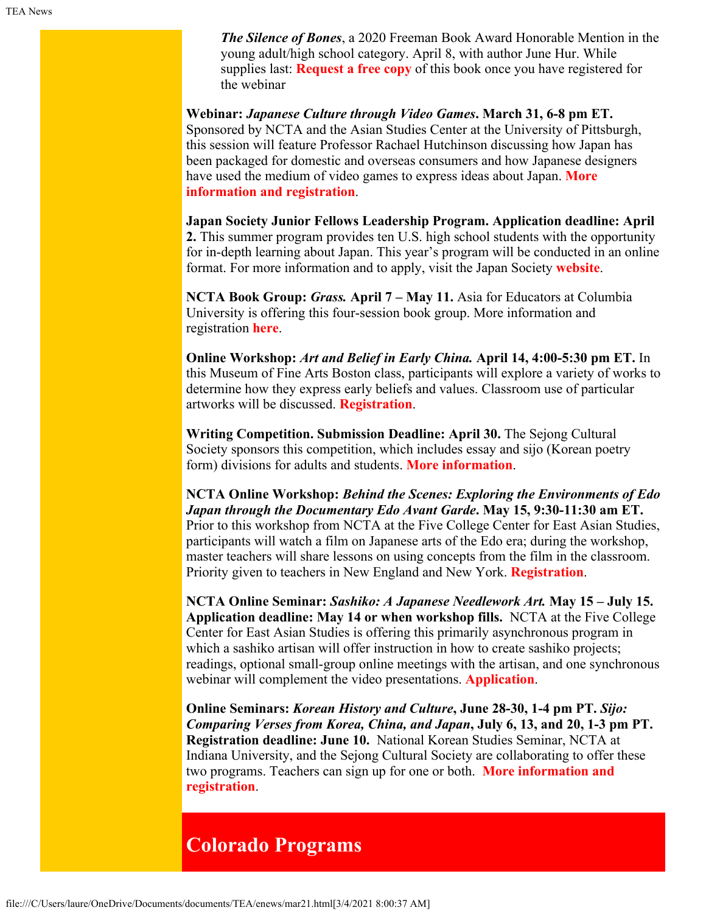*The Silence of Bones*, a 2020 Freeman Book Award Honorable Mention in the young adult/high school category. April 8, with author June Hur. While supplies last: **[Request a free copy](https://www.fivecolleges.edu/fcceas/webinar/the-silence-of-bones-book-giveaway)** of this book once you have registered for the webinar

**Webinar:** *Japanese Culture through Video Games***. March 31, 6-8 pm ET.** Sponsored by NCTA and the Asian Studies Center at the University of Pittsburgh, this session will feature Professor Rachael Hutchinson discussing how Japan has been packaged for domestic and overseas consumers and how Japanese designers have used the medium of video games to express ideas about Japan. **[More](https://www.japansocietypa.org/event-3668995) [information and registration](https://www.japansocietypa.org/event-3668995)**.

**Japan Society Junior Fellows Leadership Program. Application deadline: April 2.** This summer program provides ten U.S. high school students with the opportunity for in-depth learning about Japan. This year's program will be conducted in an online format. For more information and to apply, visit the Japan Society **[website](https://www.japansociety.org/page/programs/education/japan-society-junior-fellows-program)**.

**NCTA Book Group:** *Grass.* **April 7** *–* **May 11.** Asia for Educators at Columbia University is offering this four-session book group. More information and registration **[here](http://afe.easia.columbia.edu/online_course/)**.

**Online Workshop:** *Art and Belief in Early China.* **April 14, 4:00-5:30 pm ET.** In this Museum of Fine Arts Boston class, participants will explore a variety of works to determine how they express early beliefs and values. Classroom use of particular artworks will be discussed. **[Registration](https://www.mfa.org/event/educator-workshops/art-and-belief-in-early-china?event=67196)**.

**Writing Competition. Submission Deadline: April 30.** The Sejong Cultural Society sponsors this competition, which includes essay and sijo (Korean poetry form) divisions for adults and students. **[More information](https://writing.sejongculturalsociety.org/index.html)**.

**NCTA Online Workshop:** *Behind the Scenes: Exploring the Environments of Edo Japan through the Documentary Edo Avant Garde***. May 15, 9:30-11:30 am ET.** Prior to this workshop from NCTA at the Five College Center for East Asian Studies, participants will watch a film on Japanese arts of the Edo era; during the workshop, master teachers will share lessons on using concepts from the film in the classroom. Priority given to teachers in New England and New York. **[Registration](https://www.fivecolleges.edu/fcceas/ncta/edo-avant-garde-online-workshop)**.

**NCTA Online Seminar:** *Sashiko: A Japanese Needlework Art.* **May 15 – July 15. Application deadline: May 14 or when workshop fills.** NCTA at the Five College Center for East Asian Studies is offering this primarily asynchronous program in which a sashiko artisan will offer instruction in how to create sashiko projects; readings, optional small-group online meetings with the artisan, and one synchronous webinar will complement the video presentations. **[Application](https://www.fivecolleges.edu/fcceas/ncta/sashiko-online-workshop)**.

**Online Seminars:** *Korean History and Culture***, June 28-30, 1-4 pm PT.** *Sijo: Comparing Verses from Korea, China, and Japan***, July 6, 13, and 20, 1-3 pm PT. Registration deadline: June 10.** National Korean Studies Seminar, NCTA at Indiana University, and the Sejong Cultural Society are collaborating to offer these two programs. Teachers can sign up for one or both. **[More information and](https://docs.google.com/document/d/1nnqj-iA48I4ZUFj_eWm-S8HvyVOy7zoxEhLiRem9wTU/edit) [registration](https://docs.google.com/document/d/1nnqj-iA48I4ZUFj_eWm-S8HvyVOy7zoxEhLiRem9wTU/edit)**.

### <span id="page-1-0"></span>**Colorado Programs**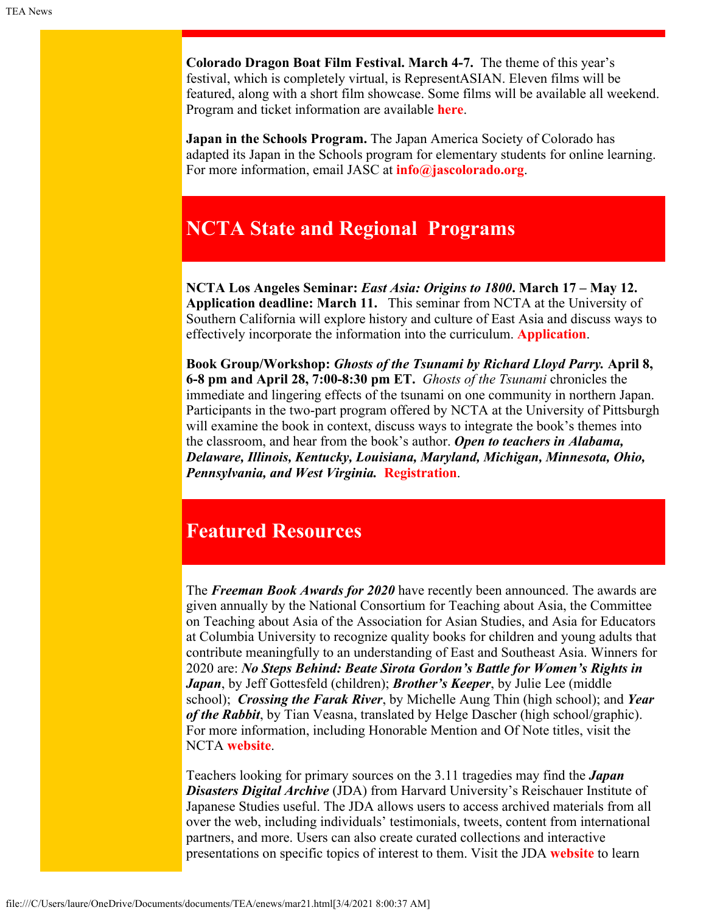**Colorado Dragon Boat Film Festival. March 4-7.** The theme of this year's festival, which is completely virtual, is RepresentASIAN. Eleven films will be featured, along with a short film showcase. Some films will be available all weekend. Program and ticket information are available **[here](http://www.cdfilm.org/2021program.html)**.

**Japan in the Schools Program.** The Japan America Society of Colorado has adapted its Japan in the Schools program for elementary students for online learning. For more information, email JASC at **[info@jascolorado.org](file:///C/Users/laure/OneDrive/Documents/documents/TEA/enews/info@jascolorado.org)**.

## <span id="page-2-0"></span>**NCTA State and Regional Programs**

**NCTA Los Angeles Seminar:** *East Asia: Origins to 1800***. March 17 – May 12. Application deadline: March 11.** This seminar from NCTA at the University of Southern California will explore history and culture of East Asia and discuss ways to effectively incorporate the information into the curriculum. **[Application](https://china.usc.edu/seminars/east-asia-origins-1800-spring-2021)**.

**Book Group/Workshop:** *Ghosts of the Tsunami by Richard Lloyd Parry.* **April 8, 6-8 pm and April 28, 7:00-8:30 pm ET.** *Ghosts of the Tsunami* chronicles the immediate and lingering effects of the tsunami on one community in northern Japan. Participants in the two-part program offered by NCTA at the University of Pittsburgh will examine the book in context, discuss ways to integrate the book's themes into the classroom, and hear from the book's author. *Open to teachers in Alabama, Delaware, Illinois, Kentucky, Louisiana, Maryland, Michigan, Minnesota, Ohio, Pennsylvania, and West Virginia.* **[Registration](https://docs.google.com/forms/d/e/1FAIpQLSeOson66Fd4-VnVyCUOtby5LPiPygl1d-bz1Cectj2WydC3oQ/viewform)**.

## <span id="page-2-1"></span>**Featured Resources**

The *Freeman Book Awards for 2020* have recently been announced. The awards are given annually by the National Consortium for Teaching about Asia, the Committee on Teaching about Asia of the Association for Asian Studies, and Asia for Educators at Columbia University to recognize quality books for children and young adults that contribute meaningfully to an understanding of East and Southeast Asia. Winners for 2020 are: *No Steps Behind: Beate Sirota Gordon's Battle for Women's Rights in Japan*, by Jeff Gottesfeld (children); *Brother's Keeper*, by Julie Lee (middle school); *Crossing the Farak River*, by Michelle Aung Thin (high school); and *Year of the Rabbit*, by Tian Veasna, translated by Helge Dascher (high school/graphic). For more information, including Honorable Mention and Of Note titles, visit the NCTA **[website](https://nctasia.org/freeman-book-awards/)**.

Teachers looking for primary sources on the 3.11 tragedies may find the *Japan Disasters Digital Archive* (JDA) from Harvard University's Reischauer Institute of Japanese Studies useful. The JDA allows users to access archived materials from all over the web, including individuals' testimonials, tweets, content from international partners, and more. Users can also create curated collections and interactive presentations on specific topics of interest to them. Visit the JDA **[website](https://jdarchive.org/en)** to learn